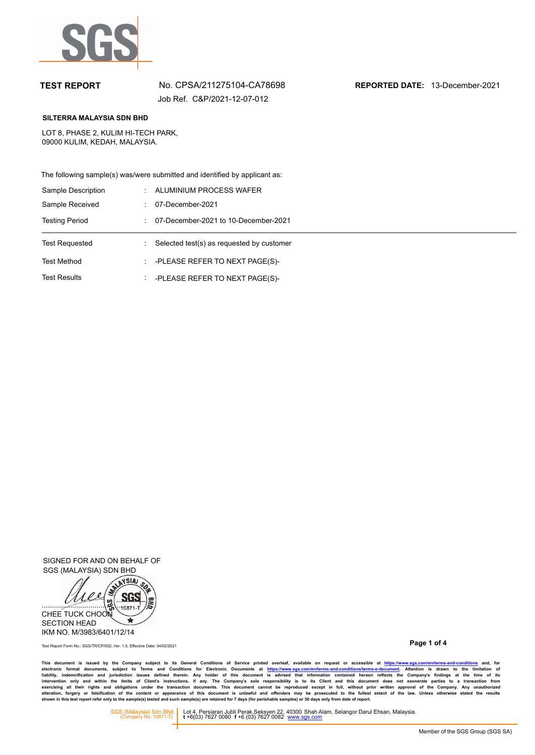

Job Ref. C&P/2021-12-07-012

**TEST REPORT** No. CPSA/211275104-CA78698 **REPORTED DATE:** 13-December-2021

### **SILTERRA MALAYSIA SDN BHD**

LOT 8, PHASE 2, KULIM HI-TECH PARK, 09000 KULIM, KEDAH, MALAYSIA.

The following sample(s) was/were submitted and identified by applicant as:

| Sample Description    | ALUMINIUM PROCESS WAFER                   |
|-----------------------|-------------------------------------------|
| Sample Received       | 07-December-2021                          |
| <b>Testing Period</b> | 07-December-2021 to 10-December-2021      |
|                       |                                           |
| <b>Test Requested</b> | Selected test(s) as requested by customer |
| <b>Test Method</b>    | -PLEASE REFER TO NEXT PAGE(S)-            |

SIGNED FOR AND ON BEHALF OF SGS (MALAYSIA) SDN BHD



**Page 1 of 4** Test Report Form No.: SGS/TR/CP/002, Ver: 1.0, Effective Date: 04/02/2021

This document is issued by the Company subject to its General Conditions of Service printed overleaf, available on request or accessible at https://www.sg.s.com/en/terms-and-conditions and, for<br>electronic format documents,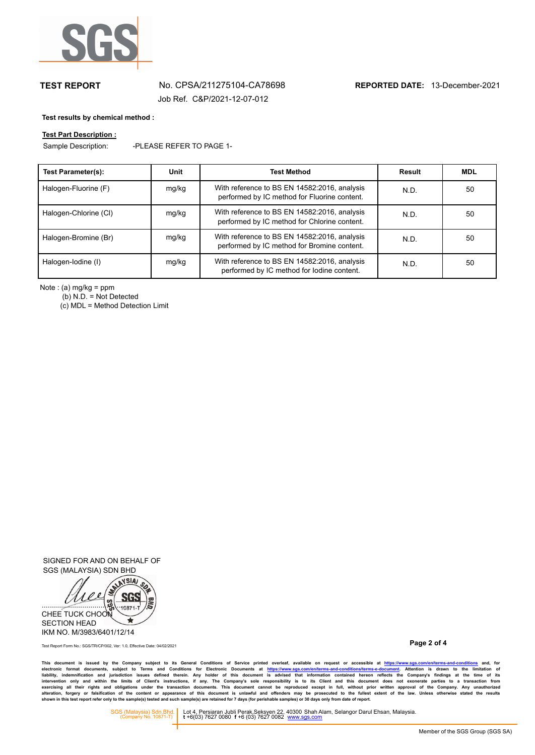

# **TEST REPORT** No. CPSA/211275104-CA78698 **REPORTED DATE:** 13-December-2021 Job Ref. C&P/2021-12-07-012

### **Test results by chemical method :**

# **Test Part Description :**

Sample Description: -PLEASE REFER TO PAGE 1-

| <b>Test Parameter(s):</b> | Unit  | <b>Test Method</b>                                                                           | Result | <b>MDL</b> |
|---------------------------|-------|----------------------------------------------------------------------------------------------|--------|------------|
| Halogen-Fluorine (F)      | mg/kg | With reference to BS EN 14582:2016, analysis<br>performed by IC method for Fluorine content. | N.D.   | 50         |
| Halogen-Chlorine (CI)     | mg/kg | With reference to BS EN 14582:2016, analysis<br>performed by IC method for Chlorine content. | N.D.   | 50         |
| Halogen-Bromine (Br)      | mg/kg | With reference to BS EN 14582:2016, analysis<br>performed by IC method for Bromine content.  | N.D.   | 50         |
| Halogen-Iodine (I)        | mg/kg | With reference to BS EN 14582:2016, analysis<br>performed by IC method for lodine content.   | N.D.   | 50         |

Note : (a) mg/kg = ppm

(b) N.D. = Not Detected

 $(c)$  MDL = Method Detection Limit

SIGNED FOR AND ON BEHALF OF SGS (MALAYSIA) SDN BHD



**Page 2 of 4** Test Report Form No.: SGS/TR/CP/002, Ver: 1.0, Effective Date: 04/02/2021

This document is issued by the Company subject to its General Conditions of Service printed overleaf, available on request or accessible at https://www.sg.s.com/en/terms-and-conditions and, for<br>electronic format documents,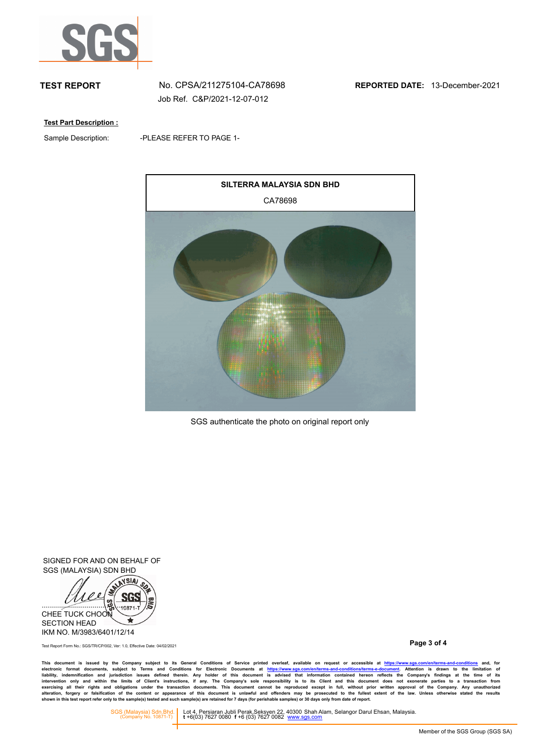

Job Ref. C&P/2021-12-07-012

**Test Part Description :**

Sample Description:

-PLEASE REFER TO PAGE 1-



SGS authenticate the photo on original report only

SIGNED FOR AND ON BEHALF OF SGS (MALAYSIA) SDN BHD



**Page 3 of 4** Test Report Form No.: SGS/TR/CP/002, Ver: 1.0, Effective Date: 04/02/2021

This document is issued by the Company subject to its General Conditions of Service printed overleaf, available on request or accessible at https://www.sg.s.com/en/terms-and-conditions and, for<br>electronic format documents,